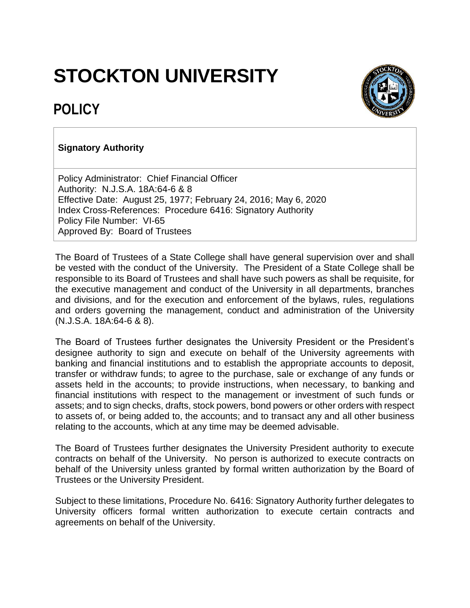## **STOCKTON UNIVERSITY**



## **POLICY**

## **Signatory Authority**

Policy Administrator: Chief Financial Officer Authority: N.J.S.A. 18A:64-6 & 8 Effective Date: August 25, 1977; February 24, 2016; May 6, 2020 Index Cross-References: Procedure 6416: Signatory Authority Policy File Number: VI-65 Approved By: Board of Trustees

The Board of Trustees of a State College shall have general supervision over and shall be vested with the conduct of the University. The President of a State College shall be responsible to its Board of Trustees and shall have such powers as shall be requisite, for the executive management and conduct of the University in all departments, branches and divisions, and for the execution and enforcement of the bylaws, rules, regulations and orders governing the management, conduct and administration of the University (N.J.S.A. 18A:64-6 & 8).

The Board of Trustees further designates the University President or the President's designee authority to sign and execute on behalf of the University agreements with banking and financial institutions and to establish the appropriate accounts to deposit, transfer or withdraw funds; to agree to the purchase, sale or exchange of any funds or assets held in the accounts; to provide instructions, when necessary, to banking and financial institutions with respect to the management or investment of such funds or assets; and to sign checks, drafts, stock powers, bond powers or other orders with respect to assets of, or being added to, the accounts; and to transact any and all other business relating to the accounts, which at any time may be deemed advisable.

The Board of Trustees further designates the University President authority to execute contracts on behalf of the University. No person is authorized to execute contracts on behalf of the University unless granted by formal written authorization by the Board of Trustees or the University President.

Subject to these limitations, Procedure No. 6416: Signatory Authority further delegates to University officers formal written authorization to execute certain contracts and agreements on behalf of the University.